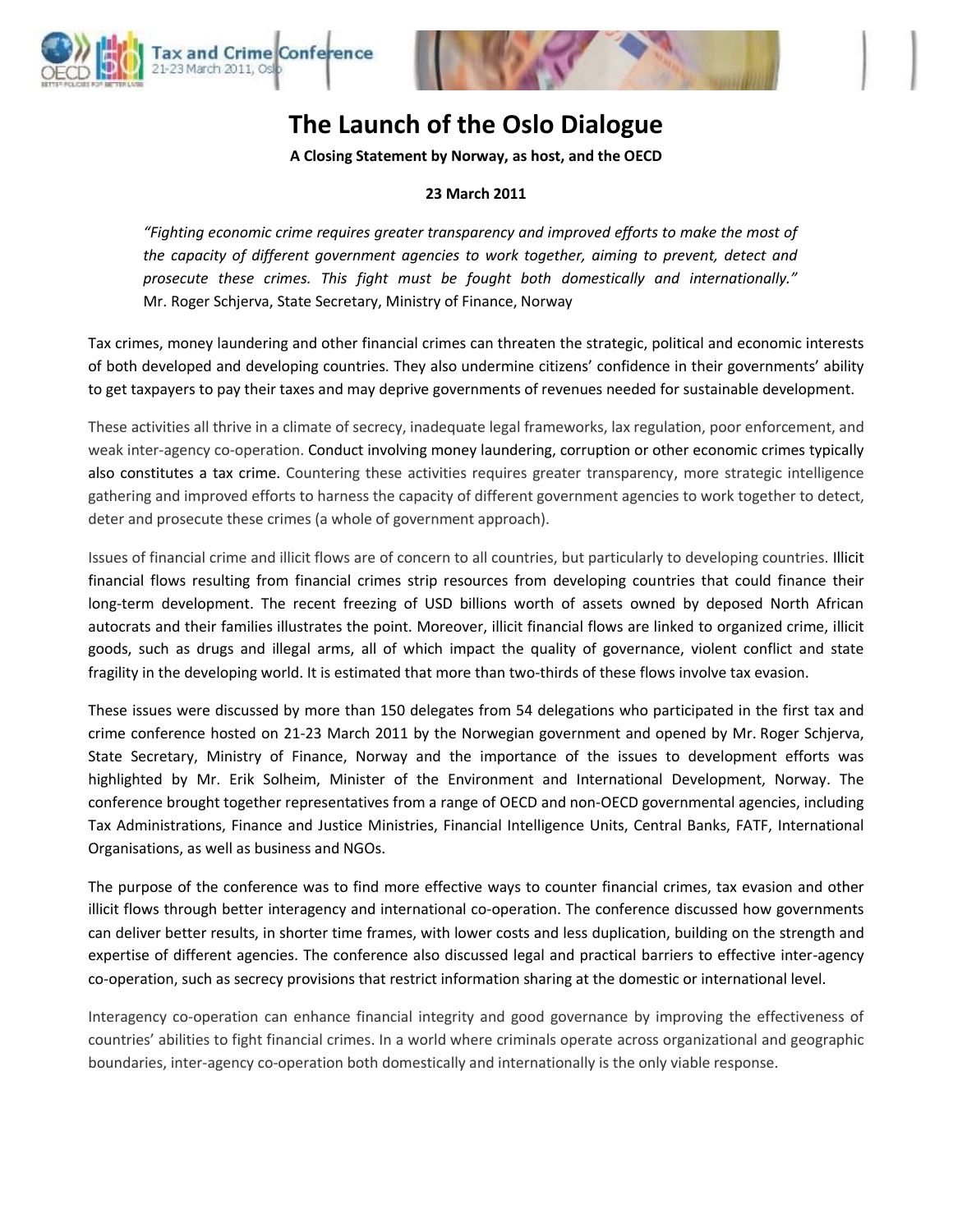



# **The Launch of the Oslo Dialogue**

**A Closing Statement by Norway, as host, and the OECD**

## **23 March 2011**

*"Fighting economic crime requires greater transparency and improved efforts to make the most of the capacity of different government agencies to work together, aiming to prevent, detect and prosecute these crimes. This fight must be fought both domestically and internationally."*  Mr. Roger Schjerva, State Secretary, Ministry of Finance, Norway

Tax crimes, money laundering and other financial crimes can threaten the strategic, political and economic interests of both developed and developing countries. They also undermine citizens' confidence in their governments' ability to get taxpayers to pay their taxes and may deprive governments of revenues needed for sustainable development.

These activities all thrive in a climate of secrecy, inadequate legal frameworks, lax regulation, poor enforcement, and weak inter-agency co-operation. Conduct involving money laundering, corruption or other economic crimes typically also constitutes a tax crime. Countering these activities requires greater transparency, more strategic intelligence gathering and improved efforts to harness the capacity of different government agencies to work together to detect, deter and prosecute these crimes (a whole of government approach).

Issues of financial crime and illicit flows are of concern to all countries, but particularly to developing countries. Illicit financial flows resulting from financial crimes strip resources from developing countries that could finance their long-term development. The recent freezing of USD billions worth of assets owned by deposed North African autocrats and their families illustrates the point. Moreover, illicit financial flows are linked to organized crime, illicit goods, such as drugs and illegal arms, all of which impact the quality of governance, violent conflict and state fragility in the developing world. It is estimated that more than two-thirds of these flows involve tax evasion.

These issues were discussed by more than 150 delegates from 54 delegations who participated in the first tax and crime conference hosted on 21-23 March 2011 by the Norwegian government and opened by Mr. Roger Schjerva, State Secretary, Ministry of Finance, Norway and the importance of the issues to development efforts was highlighted by Mr. Erik Solheim, Minister of the Environment and International Development, Norway. The conference brought together representatives from a range of OECD and non-OECD governmental agencies, including Tax Administrations, Finance and Justice Ministries, Financial Intelligence Units, Central Banks, FATF, International Organisations, as well as business and NGOs.

The purpose of the conference was to find more effective ways to counter financial crimes, tax evasion and other illicit flows through better interagency and international co-operation. The conference discussed how governments can deliver better results, in shorter time frames, with lower costs and less duplication, building on the strength and expertise of different agencies. The conference also discussed legal and practical barriers to effective inter-agency co-operation, such as secrecy provisions that restrict information sharing at the domestic or international level.

Interagency co-operation can enhance financial integrity and good governance by improving the effectiveness of countries' abilities to fight financial crimes. In a world where criminals operate across organizational and geographic boundaries, inter-agency co-operation both domestically and internationally is the only viable response.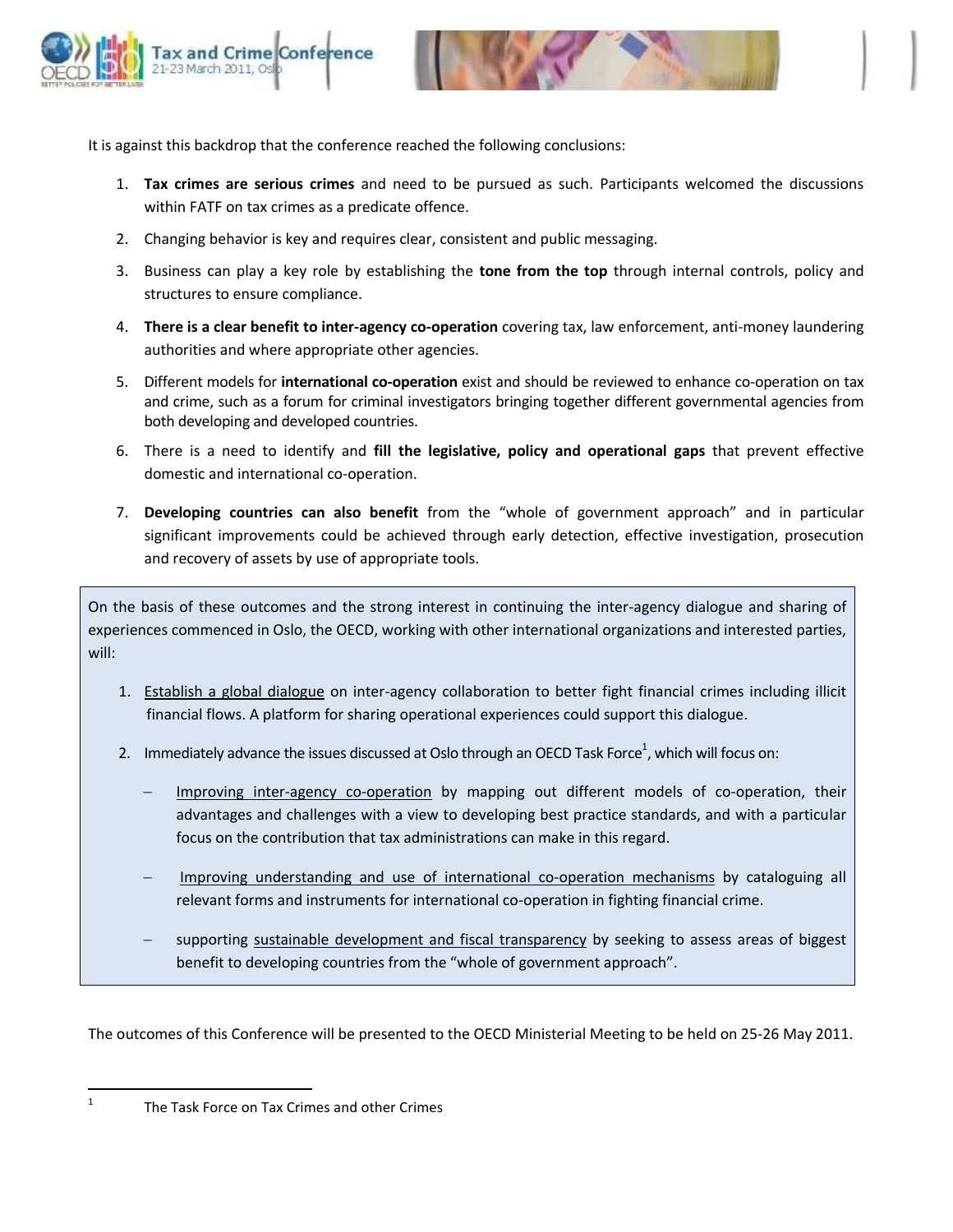



It is against this backdrop that the conference reached the following conclusions:

- 1. **Tax crimes are serious crimes** and need to be pursued as such. Participants welcomed the discussions within FATF on tax crimes as a predicate offence.
- 2. Changing behavior is key and requires clear, consistent and public messaging.
- 3. Business can play a key role by establishing the **tone from the top** through internal controls, policy and structures to ensure compliance.
- 4. **There is a clear benefit to inter-agency co-operation** covering tax, law enforcement, anti-money laundering authorities and where appropriate other agencies.
- 5. Different models for **international co-operation** exist and should be reviewed to enhance co-operation on tax and crime, such as a forum for criminal investigators bringing together different governmental agencies from both developing and developed countries.
- 6. There is a need to identify and **fill the legislative, policy and operational gaps** that prevent effective domestic and international co-operation.
- 7. **Developing countries can also benefit** from the "whole of government approach" and in particular significant improvements could be achieved through early detection, effective investigation, prosecution and recovery of assets by use of appropriate tools.

On the basis of these outcomes and the strong interest in continuing the inter-agency dialogue and sharing of experiences commenced in Oslo, the OECD, working with other international organizations and interested parties, will:

- 1. Establish a global dialogue on inter-agency collaboration to better fight financial crimes including illicit financial flows. A platform for sharing operational experiences could support this dialogue.
- 2. Immediately advance the issues discussed at Oslo through an OECD Task Force $^1$ , which will focus on:
	- Improving inter-agency co-operation by mapping out different models of co-operation, their advantages and challenges with a view to developing best practice standards, and with a particular focus on the contribution that tax administrations can make in this regard.
	- Improving understanding and use of international co-operation mechanisms by cataloguing all relevant forms and instruments for international co-operation in fighting financial crime.
	- supporting sustainable development and fiscal transparency by seeking to assess areas of biggest benefit to developing countries from the "whole of government approach".

The outcomes of this Conference will be presented to the OECD Ministerial Meeting to be held on 25-26 May 2011.

 $\frac{1}{1}$ 

The Task Force on Tax Crimes and other Crimes